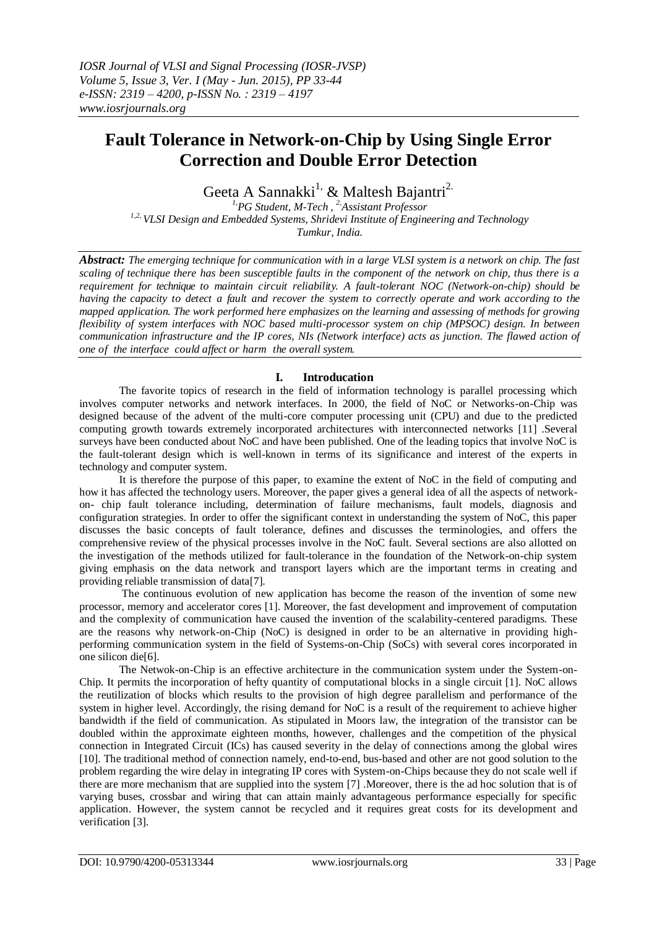# **Fault Tolerance in Network-on-Chip by Using Single Error Correction and Double Error Detection**

Geeta A Sannakki<sup>1,</sup> & Maltesh Bajantri<sup>2.</sup>

*1,PG Student, M-Tech , 2,Assistant Professor 1,2, VLSI Design and Embedded Systems, Shridevi Institute of Engineering and Technology Tumkur, India.*

*Abstract: The emerging technique for communication with in a large VLSI system is a network on chip. The fast scaling of technique there has been susceptible faults in the component of the network on chip, thus there is a requirement for technique to maintain circuit reliability. A fault-tolerant NOC (Network-on-chip) should be having the capacity to detect a fault and recover the system to correctly operate and work according to the mapped application. The work performed here emphasizes on the learning and assessing of methods for growing flexibility of system interfaces with NOC based multi-processor system on chip (MPSOC) design. In between communication infrastructure and the IP cores, NIs (Network interface) acts as junction. The flawed action of one of the interface could affect or harm the overall system.*

# **I. Introducation**

The favorite topics of research in the field of information technology is parallel processing which involves computer networks and network interfaces. In 2000, the field of NoC or Networks-on-Chip was designed because of the advent of the multi-core computer processing unit (CPU) and due to the predicted computing growth towards extremely incorporated architectures with interconnected networks [11] .Several surveys have been conducted about NoC and have been published. One of the leading topics that involve NoC is the fault-tolerant design which is well-known in terms of its significance and interest of the experts in technology and computer system.

It is therefore the purpose of this paper, to examine the extent of NoC in the field of computing and how it has affected the technology users. Moreover, the paper gives a general idea of all the aspects of networkon- chip fault tolerance including, determination of failure mechanisms, fault models, diagnosis and configuration strategies. In order to offer the significant context in understanding the system of NoC, this paper discusses the basic concepts of fault tolerance, defines and discusses the terminologies, and offers the comprehensive review of the physical processes involve in the NoC fault. Several sections are also allotted on the investigation of the methods utilized for fault-tolerance in the foundation of the Network-on-chip system giving emphasis on the data network and transport layers which are the important terms in creating and providing reliable transmission of data[7].

The continuous evolution of new application has become the reason of the invention of some new processor, memory and accelerator cores [1]. Moreover, the fast development and improvement of computation and the complexity of communication have caused the invention of the scalability-centered paradigms. These are the reasons why network-on-Chip (NoC) is designed in order to be an alternative in providing highperforming communication system in the field of Systems-on-Chip (SoCs) with several cores incorporated in one silicon die[6].

The Netwok-on-Chip is an effective architecture in the communication system under the System-on-Chip. It permits the incorporation of hefty quantity of computational blocks in a single circuit [1]. NoC allows the reutilization of blocks which results to the provision of high degree parallelism and performance of the system in higher level. Accordingly, the rising demand for NoC is a result of the requirement to achieve higher bandwidth if the field of communication. As stipulated in Moors law, the integration of the transistor can be doubled within the approximate eighteen months, however, challenges and the competition of the physical connection in Integrated Circuit (ICs) has caused severity in the delay of connections among the global wires [10]. The traditional method of connection namely, end-to-end, bus-based and other are not good solution to the problem regarding the wire delay in integrating IP cores with System-on-Chips because they do not scale well if there are more mechanism that are supplied into the system [7] .Moreover, there is the ad hoc solution that is of varying buses, crossbar and wiring that can attain mainly advantageous performance especially for specific application. However, the system cannot be recycled and it requires great costs for its development and verification [3].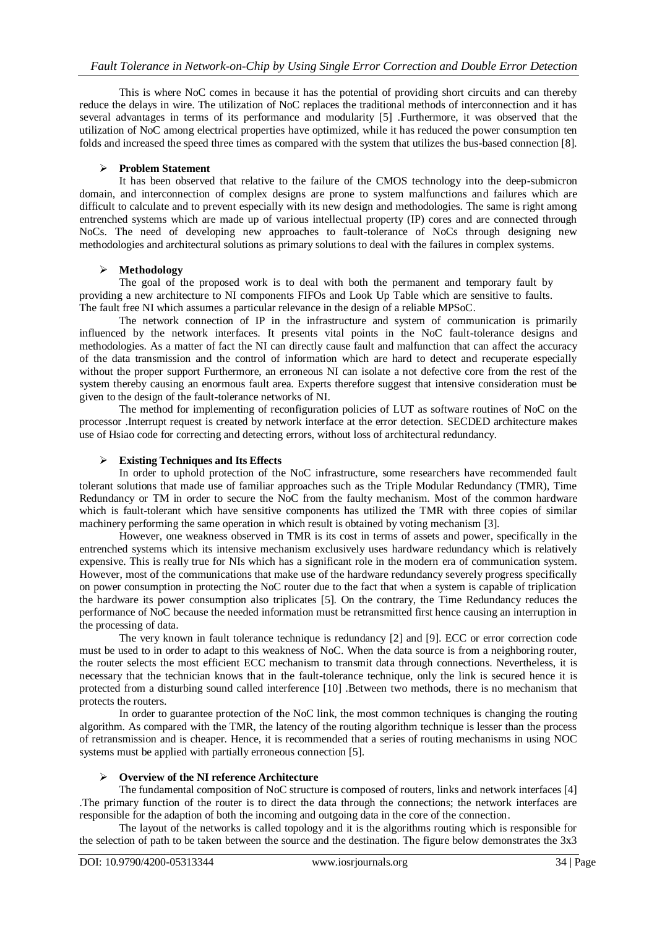This is where NoC comes in because it has the potential of providing short circuits and can thereby reduce the delays in wire. The utilization of NoC replaces the traditional methods of interconnection and it has several advantages in terms of its performance and modularity [5] .Furthermore, it was observed that the utilization of NoC among electrical properties have optimized, while it has reduced the power consumption ten folds and increased the speed three times as compared with the system that utilizes the bus-based connection [8].

#### **Problem Statement**

It has been observed that relative to the failure of the CMOS technology into the deep-submicron domain, and interconnection of complex designs are prone to system malfunctions and failures which are difficult to calculate and to prevent especially with its new design and methodologies. The same is right among entrenched systems which are made up of various intellectual property (IP) cores and are connected through NoCs. The need of developing new approaches to fault-tolerance of NoCs through designing new methodologies and architectural solutions as primary solutions to deal with the failures in complex systems.

#### **Methodology**

The goal of the proposed work is to deal with both the permanent and temporary fault by providing a new architecture to NI components FIFOs and Look Up Table which are sensitive to faults. The fault free NI which assumes a particular relevance in the design of a reliable MPSoC.

The network connection of IP in the infrastructure and system of communication is primarily influenced by the network interfaces. It presents vital points in the NoC fault-tolerance designs and methodologies. As a matter of fact the NI can directly cause fault and malfunction that can affect the accuracy of the data transmission and the control of information which are hard to detect and recuperate especially without the proper support Furthermore, an erroneous NI can isolate a not defective core from the rest of the system thereby causing an enormous fault area. Experts therefore suggest that intensive consideration must be given to the design of the fault-tolerance networks of NI.

The method for implementing of reconfiguration policies of LUT as software routines of NoC on the processor .Interrupt request is created by network interface at the error detection. SECDED architecture makes use of Hsiao code for correcting and detecting errors, without loss of architectural redundancy.

#### **Existing Techniques and Its Effects**

In order to uphold protection of the NoC infrastructure, some researchers have recommended fault tolerant solutions that made use of familiar approaches such as the Triple Modular Redundancy (TMR), Time Redundancy or TM in order to secure the NoC from the faulty mechanism. Most of the common hardware which is fault-tolerant which have sensitive components has utilized the TMR with three copies of similar machinery performing the same operation in which result is obtained by voting mechanism [3].

However, one weakness observed in TMR is its cost in terms of assets and power, specifically in the entrenched systems which its intensive mechanism exclusively uses hardware redundancy which is relatively expensive. This is really true for NIs which has a significant role in the modern era of communication system. However, most of the communications that make use of the hardware redundancy severely progress specifically on power consumption in protecting the NoC router due to the fact that when a system is capable of triplication the hardware its power consumption also triplicates [5]. On the contrary, the Time Redundancy reduces the performance of NoC because the needed information must be retransmitted first hence causing an interruption in the processing of data.

The very known in fault tolerance technique is redundancy [2] and [9]. ECC or error correction code must be used to in order to adapt to this weakness of NoC. When the data source is from a neighboring router, the router selects the most efficient ECC mechanism to transmit data through connections. Nevertheless, it is necessary that the technician knows that in the fault-tolerance technique, only the link is secured hence it is protected from a disturbing sound called interference [10] .Between two methods, there is no mechanism that protects the routers.

In order to guarantee protection of the NoC link, the most common techniques is changing the routing algorithm. As compared with the TMR, the latency of the routing algorithm technique is lesser than the process of retransmission and is cheaper. Hence, it is recommended that a series of routing mechanisms in using NOC systems must be applied with partially erroneous connection [5].

#### **Overview of the NI reference Architecture**

The fundamental composition of NoC structure is composed of routers, links and network interfaces [4] .The primary function of the router is to direct the data through the connections; the network interfaces are responsible for the adaption of both the incoming and outgoing data in the core of the connection.

The layout of the networks is called topology and it is the algorithms routing which is responsible for the selection of path to be taken between the source and the destination. The figure below demonstrates the 3x3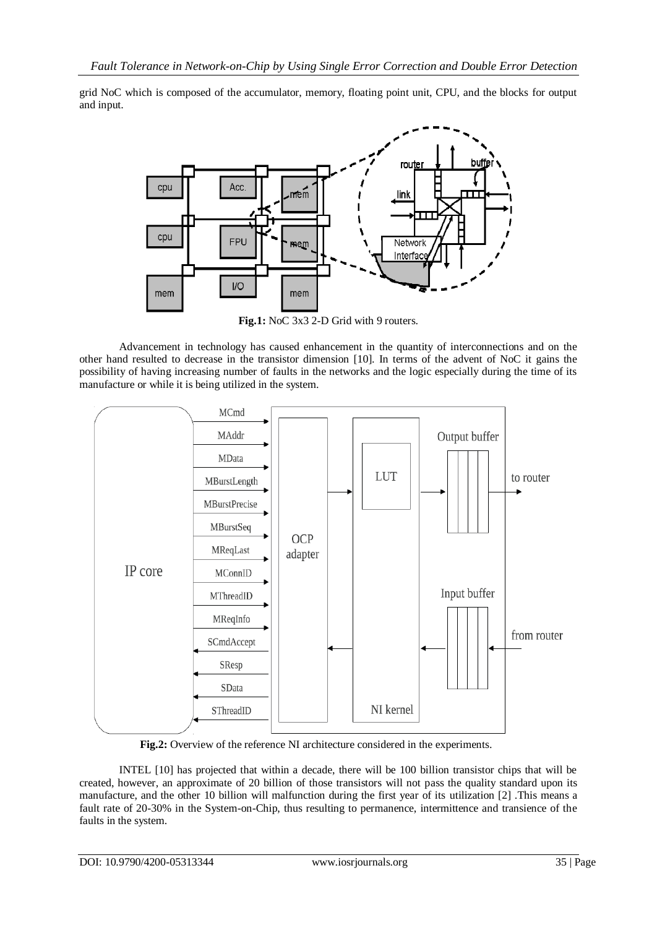grid NoC which is composed of the accumulator, memory, floating point unit, CPU, and the blocks for output and input.



Fig.1: NoC 3x3 2-D Grid with 9 routers.

Advancement in technology has caused enhancement in the quantity of interconnections and on the other hand resulted to decrease in the transistor dimension [10]. In terms of the advent of NoC it gains the possibility of having increasing number of faults in the networks and the logic especially during the time of its manufacture or while it is being utilized in the system.



**Fig.2:** Overview of the reference NI architecture considered in the experiments.

INTEL [10] has projected that within a decade, there will be 100 billion transistor chips that will be created, however, an approximate of 20 billion of those transistors will not pass the quality standard upon its manufacture, and the other 10 billion will malfunction during the first year of its utilization [2] .This means a fault rate of 20-30% in the System-on-Chip, thus resulting to permanence, intermittence and transience of the faults in the system.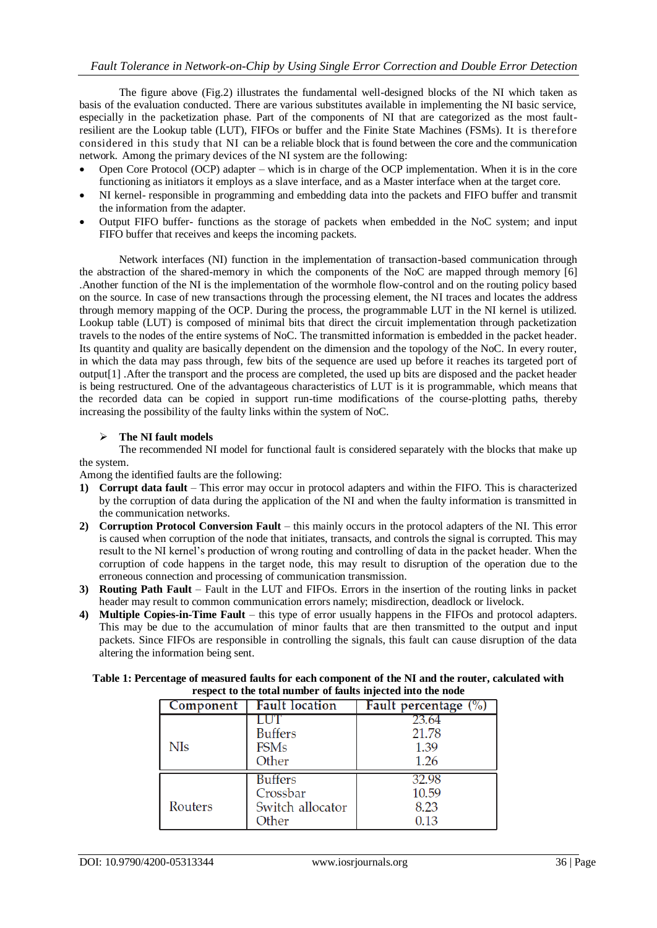The figure above (Fig.2) illustrates the fundamental well-designed blocks of the NI which taken as basis of the evaluation conducted. There are various substitutes available in implementing the NI basic service, especially in the packetization phase. Part of the components of NI that are categorized as the most faultresilient are the Lookup table (LUT), FIFOs or buffer and the Finite State Machines (FSMs). It is therefore considered in this study that NI can be a reliable block that is found between the core and the communication network. Among the primary devices of the NI system are the following:

- Open Core Protocol (OCP) adapter which is in charge of the OCP implementation. When it is in the core functioning as initiators it employs as a slave interface, and as a Master interface when at the target core.
- NI kernel- responsible in programming and embedding data into the packets and FIFO buffer and transmit the information from the adapter.
- Output FIFO buffer- functions as the storage of packets when embedded in the NoC system; and input FIFO buffer that receives and keeps the incoming packets.

Network interfaces (NI) function in the implementation of transaction-based communication through the abstraction of the shared-memory in which the components of the NoC are mapped through memory [6] .Another function of the NI is the implementation of the wormhole flow-control and on the routing policy based on the source. In case of new transactions through the processing element, the NI traces and locates the address through memory mapping of the OCP. During the process, the programmable LUT in the NI kernel is utilized. Lookup table (LUT) is composed of minimal bits that direct the circuit implementation through packetization travels to the nodes of the entire systems of NoC. The transmitted information is embedded in the packet header. Its quantity and quality are basically dependent on the dimension and the topology of the NoC. In every router, in which the data may pass through, few bits of the sequence are used up before it reaches its targeted port of output[1] .After the transport and the process are completed, the used up bits are disposed and the packet header is being restructured. One of the advantageous characteristics of LUT is it is programmable, which means that the recorded data can be copied in support run-time modifications of the course-plotting paths, thereby increasing the possibility of the faulty links within the system of NoC.

#### **The NI fault models**

The recommended NI model for functional fault is considered separately with the blocks that make up the system.

Among the identified faults are the following:

- **1) Corrupt data fault** This error may occur in protocol adapters and within the FIFO. This is characterized by the corruption of data during the application of the NI and when the faulty information is transmitted in the communication networks.
- **2) Corruption Protocol Conversion Fault** this mainly occurs in the protocol adapters of the NI. This error is caused when corruption of the node that initiates, transacts, and controls the signal is corrupted. This may result to the NI kernel's production of wrong routing and controlling of data in the packet header. When the corruption of code happens in the target node, this may result to disruption of the operation due to the erroneous connection and processing of communication transmission.
- **3) Routing Path Fault** Fault in the LUT and FIFOs. Errors in the insertion of the routing links in packet header may result to common communication errors namely; misdirection, deadlock or livelock.
- **4) Multiple Copies-in-Time Fault** this type of error usually happens in the FIFOs and protocol adapters. This may be due to the accumulation of minor faults that are then transmitted to the output and input packets. Since FIFOs are responsible in controlling the signals, this fault can cause disruption of the data altering the information being sent.

| respect to the total number of faults injected into the node |                       |                      |  |  |  |  |  |  |
|--------------------------------------------------------------|-----------------------|----------------------|--|--|--|--|--|--|
| Component                                                    | <b>Fault location</b> | Fault percentage (%) |  |  |  |  |  |  |
|                                                              |                       |                      |  |  |  |  |  |  |
|                                                              | <b>Buffers</b>        | 21.78                |  |  |  |  |  |  |
| NIs                                                          | <b>FSMs</b>           | 1.39                 |  |  |  |  |  |  |
|                                                              | Other                 | 1.26                 |  |  |  |  |  |  |
|                                                              |                       |                      |  |  |  |  |  |  |

Crossbar

Other

Switch allocator

#### **Table 1: Percentage of measured faults for each component of the NI and the router, calculated with respect to the total number of faults injected into the node**

Routers

10.59

8.23

0.13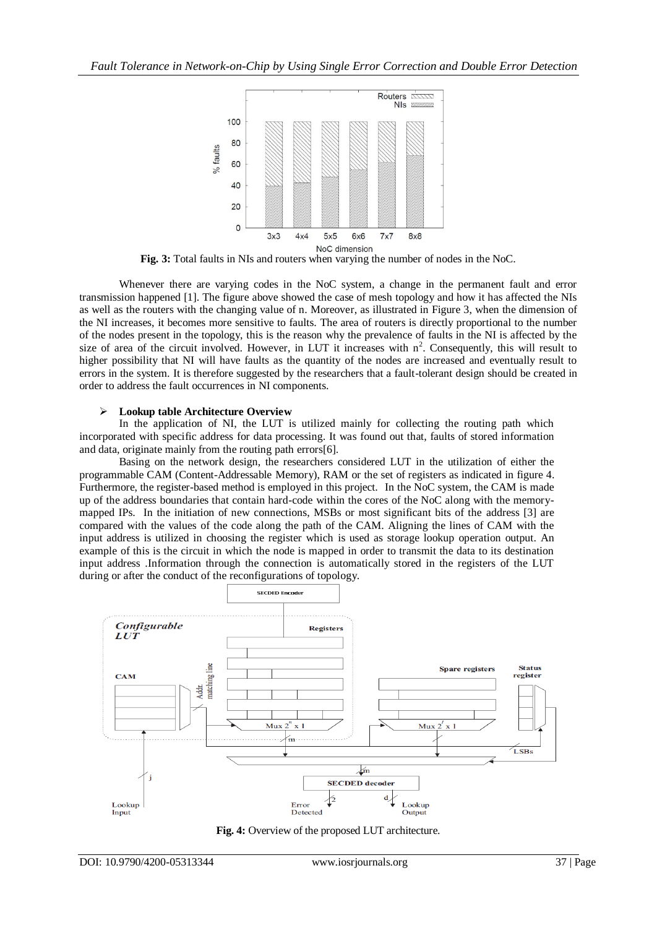

**Fig. 3:** Total faults in NIs and routers when varying the number of nodes in the NoC.

Whenever there are varying codes in the NoC system, a change in the permanent fault and error transmission happened [1]. The figure above showed the case of mesh topology and how it has affected the NIs as well as the routers with the changing value of n. Moreover, as illustrated in Figure 3, when the dimension of the NI increases, it becomes more sensitive to faults. The area of routers is directly proportional to the number of the nodes present in the topology, this is the reason why the prevalence of faults in the NI is affected by the size of area of the circuit involved. However, in LUT it increases with  $n^2$ . Consequently, this will result to higher possibility that NI will have faults as the quantity of the nodes are increased and eventually result to errors in the system. It is therefore suggested by the researchers that a fault-tolerant design should be created in order to address the fault occurrences in NI components.

#### **Lookup table Architecture Overview**

In the application of NI, the LUT is utilized mainly for collecting the routing path which incorporated with specific address for data processing. It was found out that, faults of stored information and data, originate mainly from the routing path errors[6].

Basing on the network design, the researchers considered LUT in the utilization of either the programmable CAM (Content-Addressable Memory), RAM or the set of registers as indicated in figure 4. Furthermore, the register-based method is employed in this project. In the NoC system, the CAM is made up of the address boundaries that contain hard-code within the cores of the NoC along with the memorymapped IPs. In the initiation of new connections, MSBs or most significant bits of the address [3] are compared with the values of the code along the path of the CAM. Aligning the lines of CAM with the input address is utilized in choosing the register which is used as storage lookup operation output. An example of this is the circuit in which the node is mapped in order to transmit the data to its destination input address .Information through the connection is automatically stored in the registers of the LUT during or after the conduct of the reconfigurations of topology.



**Fig. 4:** Overview of the proposed LUT architecture.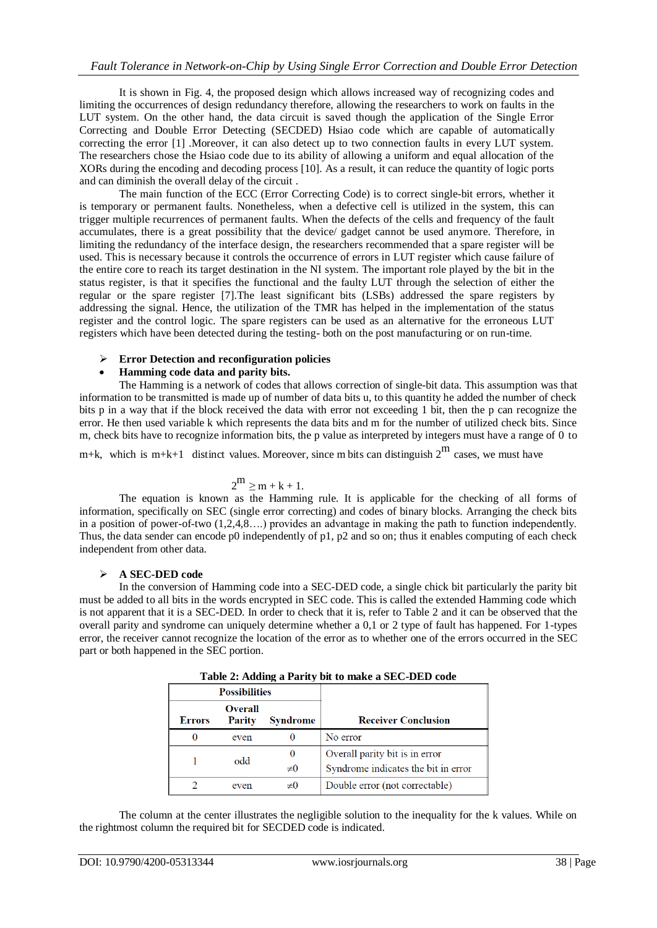It is shown in Fig. 4, the proposed design which allows increased way of recognizing codes and limiting the occurrences of design redundancy therefore, allowing the researchers to work on faults in the LUT system. On the other hand, the data circuit is saved though the application of the Single Error Correcting and Double Error Detecting (SECDED) Hsiao code which are capable of automatically correcting the error [1] .Moreover, it can also detect up to two connection faults in every LUT system. The researchers chose the Hsiao code due to its ability of allowing a uniform and equal allocation of the XORs during the encoding and decoding process [10]. As a result, it can reduce the quantity of logic ports and can diminish the overall delay of the circuit .

The main function of the ECC (Error Correcting Code) is to correct single-bit errors, whether it is temporary or permanent faults. Nonetheless, when a defective cell is utilized in the system, this can trigger multiple recurrences of permanent faults. When the defects of the cells and frequency of the fault accumulates, there is a great possibility that the device/ gadget cannot be used anymore. Therefore, in limiting the redundancy of the interface design, the researchers recommended that a spare register will be used. This is necessary because it controls the occurrence of errors in LUT register which cause failure of the entire core to reach its target destination in the NI system. The important role played by the bit in the status register, is that it specifies the functional and the faulty LUT through the selection of either the regular or the spare register [7].The least significant bits (LSBs) addressed the spare registers by addressing the signal. Hence, the utilization of the TMR has helped in the implementation of the status register and the control logic. The spare registers can be used as an alternative for the erroneous LUT registers which have been detected during the testing- both on the post manufacturing or on run-time.

#### **Error Detection and reconfiguration policies**

# **Hamming code data and parity bits.**

The Hamming is a network of codes that allows correction of single-bit data. This assumption was that information to be transmitted is made up of number of data bits u, to this quantity he added the number of check bits p in a way that if the block received the data with error not exceeding 1 bit, then the p can recognize the error. He then used variable k which represents the data bits and m for the number of utilized check bits. Since m, check bits have to recognize information bits, the p value as interpreted by integers must have a range of 0 to

m+k, which is m+k+1 distinct values. Moreover, since m bits can distinguish  $2^{\text{m}}$  cases, we must have

#### 2  $2^m \ge m + k + 1$ .

The equation is known as the Hamming rule. It is applicable for the checking of all forms of information, specifically on SEC (single error correcting) and codes of binary blocks. Arranging the check bits in a position of power-of-two (1,2,4,8….) provides an advantage in making the path to function independently. Thus, the data sender can encode p0 independently of p1, p2 and so on; thus it enables computing of each check independent from other data.

# **A SEC-DED code**

In the conversion of Hamming code into a SEC-DED code, a single chick bit particularly the parity bit must be added to all bits in the words encrypted in SEC code. This is called the extended Hamming code which is not apparent that it is a SEC-DED. In order to check that it is, refer to Table 2 and it can be observed that the overall parity and syndrome can uniquely determine whether a 0,1 or 2 type of fault has happened. For 1-types error, the receiver cannot recognize the location of the error as to whether one of the errors occurred in the SEC part or both happened in the SEC portion.

|               | <b>Possibilities</b>     |                      |                                                                       |
|---------------|--------------------------|----------------------|-----------------------------------------------------------------------|
| <b>Errors</b> | <b>Overall</b><br>Parity | <b>Syndrome</b>      | <b>Receiver Conclusion</b>                                            |
| $\Omega$      | even                     |                      | No error                                                              |
|               | odd                      | $\theta$<br>$\neq 0$ | Overall parity bit is in error<br>Syndrome indicates the bit in error |
|               | even                     | ±0                   | Double error (not correctable)                                        |

**Table 2: Adding a Parity bit to make a SEC-DED code**

The column at the center illustrates the negligible solution to the inequality for the k values. While on the rightmost column the required bit for SECDED code is indicated.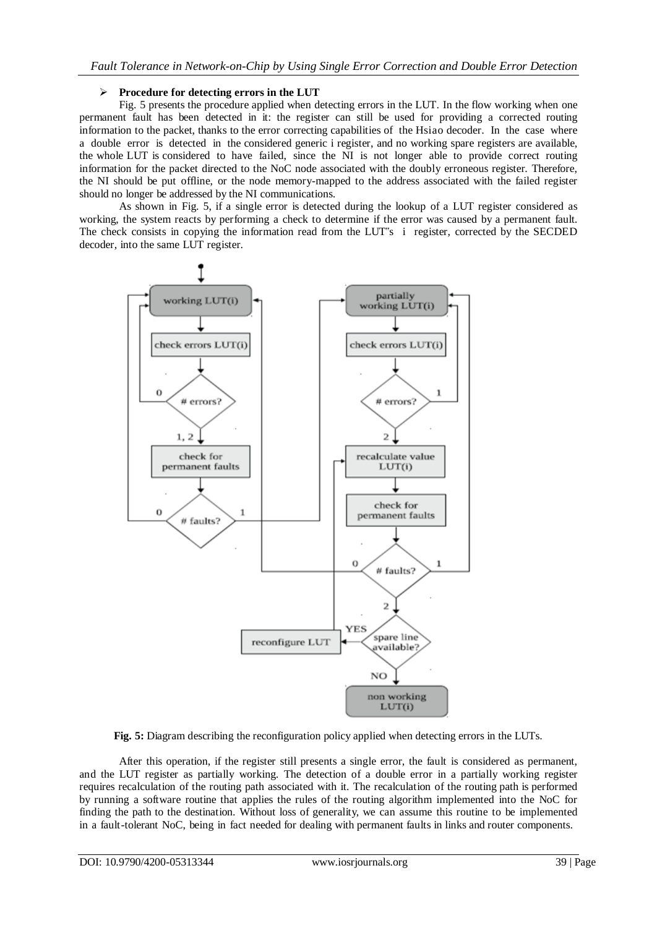#### **Procedure for detecting errors in the LUT**

Fig. 5 presents the procedure applied when detecting errors in the LUT. In the flow working when one permanent fault has been detected in it: the register can still be used for providing a corrected routing information to the packet, thanks to the error correcting capabilities of the Hsiao decoder. In the case where a double error is detected in the considered generic i register, and no working spare registers are available, the whole LUT is considered to have failed, since the NI is not longer able to provide correct routing information for the packet directed to the NoC node associated with the doubly erroneous register. Therefore, the NI should be put offline, or the node memory-mapped to the address associated with the failed register should no longer be addressed by the NI communications.

As shown in Fig. 5, if a single error is detected during the lookup of a LUT register considered as working, the system reacts by performing a check to determine if the error was caused by a permanent fault. The check consists in copying the information read from the LUT"s i register, corrected by the SECDED decoder, into the same LUT register.



**Fig. 5:** Diagram describing the reconfiguration policy applied when detecting errors in the LUTs.

After this operation, if the register still presents a single error, the fault is considered as permanent, and the LUT register as partially working. The detection of a double error in a partially working register requires recalculation of the routing path associated with it. The recalculation of the routing path is performed by running a software routine that applies the rules of the routing algorithm implemented into the NoC for finding the path to the destination. Without loss of generality, we can assume this routine to be implemented in a fault-tolerant NoC, being in fact needed for dealing with permanent faults in links and router components.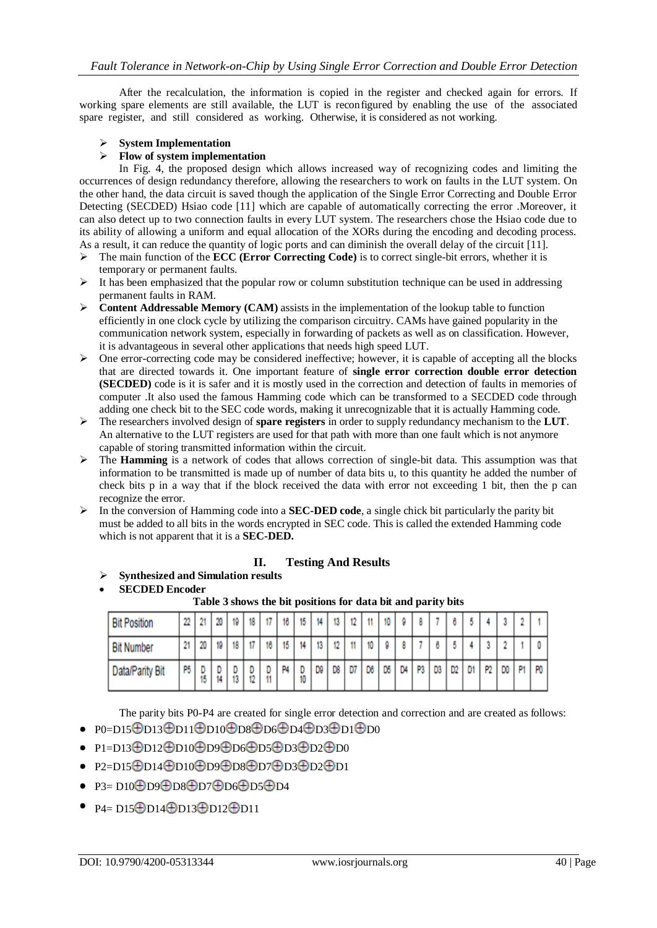After the recalculation, the information is copied in the register and checked again for errors. If working spare elements are still available, the LUT is reconfigured by enabling the use of the associated spare register, and still considered as working. Otherwise, it is considered as not working.

#### **System Implementation**

#### **Flow of system implementation**

In Fig. 4, the proposed design which allows increased way of recognizing codes and limiting the occurrences of design redundancy therefore, allowing the researchers to work on faults in the LUT system. On the other hand, the data circuit is saved though the application of the Single Error Correcting and Double Error Detecting (SECDED) Hsiao code [11] which are capable of automatically correcting the error .Moreover, it can also detect up to two connection faults in every LUT system. The researchers chose the Hsiao code due to its ability of allowing a uniform and equal allocation of the XORs during the encoding and decoding process. As a result, it can reduce the quantity of logic ports and can diminish the overall delay of the circuit [11].

- $\triangleright$  The main function of the **ECC** (**Error Correcting Code**) is to correct single-bit errors, whether it is temporary or permanent faults.
- $\triangleright$  It has been emphasized that the popular row or column substitution technique can be used in addressing permanent faults in RAM.
- **Content Addressable Memory (CAM)** assists in the implementation of the lookup table to function efficiently in one clock cycle by utilizing the comparison circuitry. CAMs have gained popularity in the communication network system, especially in forwarding of packets as well as on classification. However, it is advantageous in several other applications that needs high speed LUT.
- $\triangleright$  One error-correcting code may be considered ineffective; however, it is capable of accepting all the blocks that are directed towards it. One important feature of **single error correction double error detection (SECDED)** code is it is safer and it is mostly used in the correction and detection of faults in memories of computer .It also used the famous Hamming code which can be transformed to a SECDED code through adding one check bit to the SEC code words, making it unrecognizable that it is actually Hamming code.
- The researchers involved design of **spare registers** in order to supply redundancy mechanism to the **LUT**. An alternative to the LUT registers are used for that path with more than one fault which is not anymore capable of storing transmitted information within the circuit.
- The **Hamming** is a network of codes that allows correction of single-bit data. This assumption was that information to be transmitted is made up of number of data bits u, to this quantity he added the number of check bits p in a way that if the block received the data with error not exceeding 1 bit, then the p can recognize the error.
- $\triangleright$  In the conversion of Hamming code into a **SEC-DED code**, a single chick bit particularly the parity bit must be added to all bits in the words encrypted in SEC code. This is called the extended Hamming code which is not apparent that it is a **SEC-DED.**

# **II. Testing And Results**

- **Synthesized and Simulation results**
- **SECDED Encoder**

**Table 3 shows the bit positions for data bit and parity bits**

| <b>Bit Position</b> | 22 | 21 | 20                  | 19 | 10 | 47 | 16 | 15      | 14 | 12 | 12 | 11 | 10 |    |    |    |                |   |                |    | $\ddot{\phantom{1}}$ |                |
|---------------------|----|----|---------------------|----|----|----|----|---------|----|----|----|----|----|----|----|----|----------------|---|----------------|----|----------------------|----------------|
| <b>Bit Number</b>   | 21 | 20 | 19                  |    |    | 16 | 15 | 14      | 12 | ٠n |    | 10 |    |    |    |    |                |   |                |    |                      |                |
| Data/Parity Bit     | P5 | 15 | $\overline{u}$<br>ш | w  | z  |    | P4 | D<br>10 | DØ | D8 | D7 | D8 | œ  | D4 | P3 | D3 | D <sub>2</sub> | D | P <sub>2</sub> | DO | P1                   | P <sub>0</sub> |

The parity bits P0-P4 are created for single error detection and correction and are created as follows:

- $\cdot$  P0=D15 $\oplus$ D13 $\oplus$ D11 $\oplus$ D10 $\oplus$ D8 $\oplus$ D6 $\oplus$ D4 $\oplus$ D3 $\oplus$ D1 $\oplus$ D0
- P1=D13 **D**D12 **D**D10 **D**D9 **D**D6 **D**D5 **D**D3 **D**2 **D**D0
- P2=D15 **D**14 **D**10 **D**9 **D**8 **D**7 **D**3 **D**2 **D**1
- $\cdot$  P3= D10 $\oplus$ D9 $\oplus$ D8 $\oplus$ D7 $\oplus$ D6 $\oplus$ D5 $\oplus$ D4
- $\bullet$  P4= D15 $\oplus$ D14 $\oplus$ D13 $\oplus$ D12 $\oplus$ D11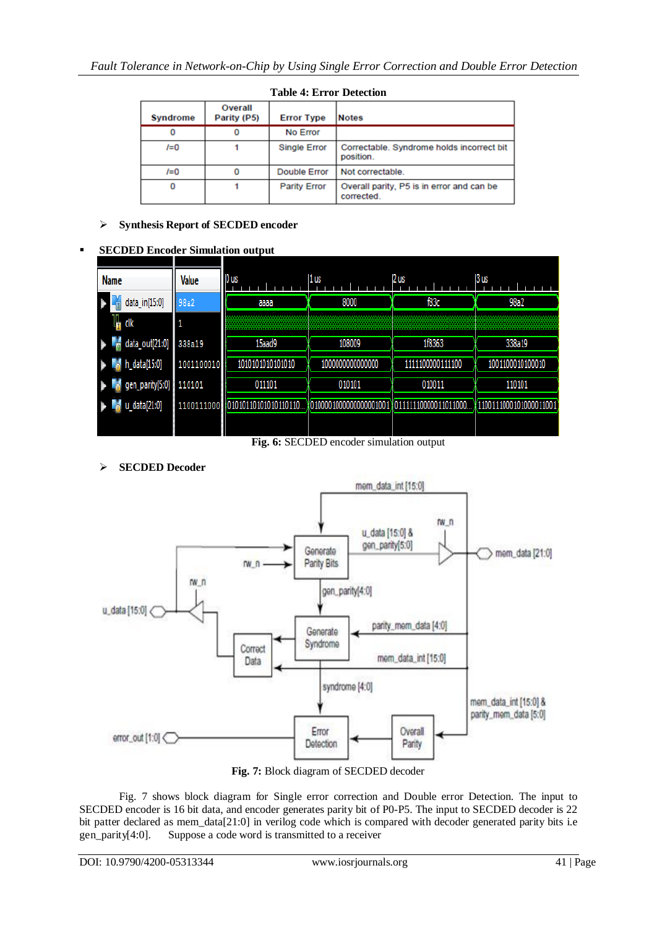| <b>Syndrome</b> | Overall<br>Parity (P5) | <b>Error Type</b>   | <b>Notes</b>                                            |
|-----------------|------------------------|---------------------|---------------------------------------------------------|
| 0               |                        | No Error            |                                                         |
| $I=0$           |                        | <b>Single Error</b> | Correctable. Syndrome holds incorrect bit<br>position.  |
| $I=0$           |                        | <b>Double Error</b> | Not correctable.                                        |
| 0               |                        | <b>Parity Error</b> | Overall parity, P5 is in error and can be<br>corrected. |

# **Table 4: Error Detection**

# **Synthesis Report of SECDED encoder**

#### **SECDED Encoder Simulation output**

| <b>Name</b>         | Value      | 0 us                     | 1us              | 2us              | 3 us             |  |  |
|---------------------|------------|--------------------------|------------------|------------------|------------------|--|--|
| data_in[15:0]       | 98a2       | аааа                     | 8000             | f83c             | 98a2             |  |  |
| l <mark>h</mark> dk |            |                          |                  |                  |                  |  |  |
| data_out[21:0]      | 338a19     | 15aad9                   | 108009           | 1f8363           | 338a19           |  |  |
| h_data[15:0]        | 1001100010 | 1010101010101010         | 1000000000000000 | 1111100000111100 | 1001100010100010 |  |  |
| gen_parity[5:0]     | 110101     | 011101                   | 010101           | 010011           | 110101           |  |  |
| u_data[21:0]        | 1100111000 |                          |                  | 1011000          | 01000011001      |  |  |
|                     |            | $\overline{\phantom{a}}$ | $\sim$           | $\sim$ $\sim$    |                  |  |  |

**Fig. 6:** SECDED encoder simulation output

**SECDED Decoder**



Fig. 7 shows block diagram for Single error correction and Double error Detection. The input to SECDED encoder is 16 bit data, and encoder generates parity bit of P0-P5. The input to SECDED decoder is 22 bit patter declared as mem\_data[21:0] in verilog code which is compared with decoder generated parity bits i.e gen\_parity[4:0]. Suppose a code word is transmitted to a receiver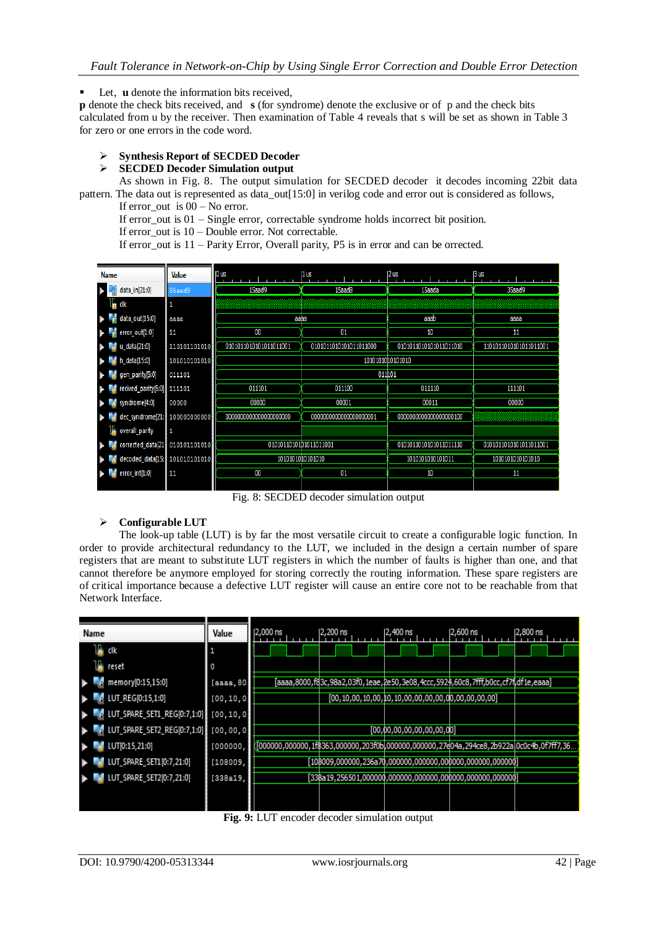Let, **u** denote the information bits received,

**p** denote the check bits received, and **s** (for syndrome) denote the exclusive or of p and the check bits calculated from u by the receiver. Then examination of Table 4 reveals that s will be set as shown in Table 3 for zero or one errors in the code word.

# **Synthesis Report of SECDED Decoder**

#### **SECDED Decoder Simulation output**

As shown in Fig. 8. The output simulation for SECDED decoder it decodes incoming 22bit data pattern. The data out is represented as data\_out[15:0] in verilog code and error out is considered as follows, If error out is  $00 - No$  error.

If error out is  $01 -$  Single error, correctable syndrome holds incorrect bit position.

If error out is  $10 -$ Double error. Not correctable.

If error out is  $11$  – Parity Error, Overall parity, P5 is in error and can be orrected.

|                       | <b>Name</b>                               | <b>Value</b>                  | $0$ us                 | 1us                    | 2us                      | 3 us                   |  |  |
|-----------------------|-------------------------------------------|-------------------------------|------------------------|------------------------|--------------------------|------------------------|--|--|
| $\blacktriangleright$ | data_in[21:0]                             | 35aad9                        | 15aad9                 | 15aad8                 | 15aada                   | 35aad9                 |  |  |
|                       | clk                                       | 1                             |                        |                        |                          |                        |  |  |
|                       | data_out[15:0]<br>a Ta                    | aaaa                          | аава                   |                        | aaab                     | аааа                   |  |  |
|                       | error_out[1:0]                            | 11                            | 00                     | 01                     | 10                       | 11                     |  |  |
|                       | $\blacksquare$ data[21:0]                 | 110101101010                  | 0101011010101011011001 | 0101011010101011011000 | 0101011010101011011010   | 1101011010101011011001 |  |  |
|                       | $h_{\rm ch}$ h_data[15:0]                 | 101010101010                  |                        |                        | 10101010 10101010        |                        |  |  |
|                       | gen_parity[5:0]                           | 011101                        |                        | 011101                 |                          |                        |  |  |
|                       | $\blacksquare$ recived_parity[5:0] 111101 |                               | 011101                 | 011100                 | 011110                   | 111101                 |  |  |
|                       | syndrome[4:0]                             | 00000                         | 00000                  | 00001                  | 00011                    | 00000                  |  |  |
|                       |                                           | dec_syndrome[21: 100000000000 | 0000000000000000000000 | 0000000000000000000001 | 000000000000000000000000 |                        |  |  |
|                       | overall_parity                            | 1                             |                        |                        |                          |                        |  |  |
|                       | corrected_data[21]                        | 010101101010                  | 0101011010101011011001 |                        | 0101011010101011011110   | 0101011010101011011001 |  |  |
|                       |                                           | decoded_data[15: 101010101010 | 1010101010101010       |                        | 1010101010101011         | 1010101010101010       |  |  |
|                       | error_int[1:0]                            | 11                            | 00                     | 01                     | 10                       | 11                     |  |  |
|                       |                                           |                               |                        |                        |                          |                        |  |  |

Fig. 8: SECDED decoder simulation output

# **Configurable LUT**

The look-up table (LUT) is by far the most versatile circuit to create a configurable logic function. In order to provide architectural redundancy to the LUT, we included in the design a certain number of spare registers that are meant to substitute LUT registers in which the number of faults is higher than one, and that cannot therefore be anymore employed for storing correctly the routing information. These spare registers are of critical importance because a defective LUT register will cause an entire core not to be reachable from that Network Interface.



**Fig. 9:** LUT encoder decoder simulation output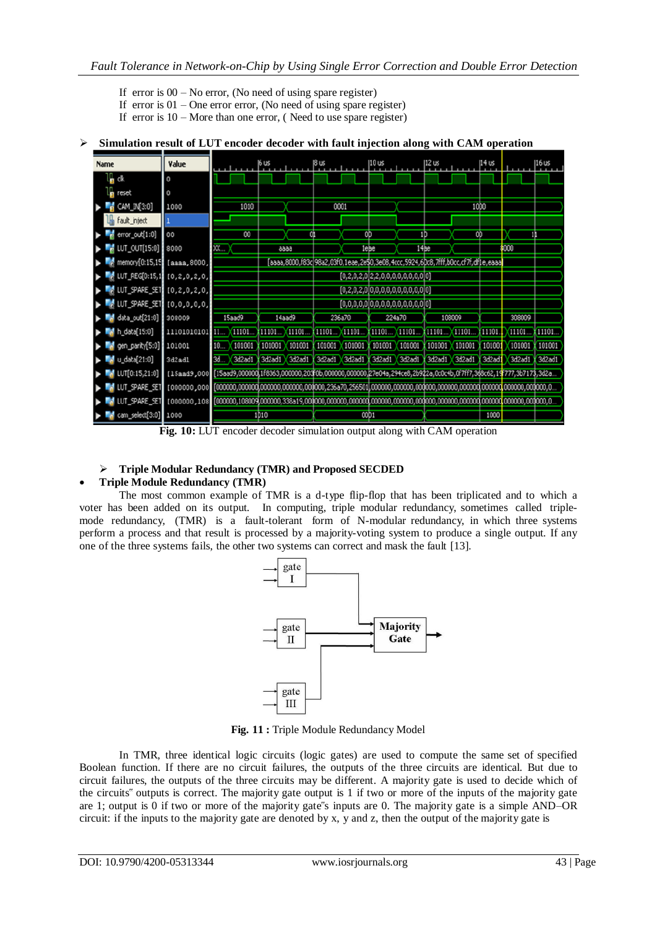- If error is  $00 No$  error, (No need of using spare register)
- If error is  $01$  One error error, (No need of using spare register)
- If error is  $10 -$ More than one error, (Need to use spare register)

#### **Simulation result of LUT encoder decoder with fault injection along with CAM operation**

| Name |                                                             | Value                |     |                       | 16 us          |               | 8 us   |                                                                                   | 10 us         |        | 12 us          |        | 114 us |                                                                                                                 | 16 us  |
|------|-------------------------------------------------------------|----------------------|-----|-----------------------|----------------|---------------|--------|-----------------------------------------------------------------------------------|---------------|--------|----------------|--------|--------|-----------------------------------------------------------------------------------------------------------------|--------|
|      | a dk                                                        | $\bf{0}$             |     |                       |                |               |        |                                                                                   |               |        |                |        |        |                                                                                                                 |        |
|      | <b>p</b> reset                                              | 0                    |     |                       |                |               |        |                                                                                   |               |        |                |        |        |                                                                                                                 |        |
|      | CAM_IN[3:0]                                                 | 1000                 |     | 1010                  |                |               | 0001   |                                                                                   |               |        |                |        | 1000   |                                                                                                                 |        |
|      | In fault_inject                                             |                      |     |                       |                |               |        |                                                                                   |               |        |                |        |        |                                                                                                                 |        |
|      | $\frac{1}{2}$ error_out[1:0]                                | 00                   |     | $\boldsymbol{\omega}$ |                | O)            |        | OD                                                                                |               | 1D     |                | OD     |        |                                                                                                                 |        |
|      | $\blacksquare$ [UT_OUT[15:0] $\blacksquare$ 8000            |                      | XX  |                       |                | 6666          |        | 1ebe                                                                              |               | 14be   |                |        |        | 000                                                                                                             |        |
|      | $\sim$ memory [0:15,15] [aaaa, 8000,                        |                      |     |                       |                |               |        | [aaaa,8000,f83c]98a2,03f0,1eae,2e\$0,3e08,4ccc,5924,6Dc8,7fff,b0cc,cf7f,df1e,eaaa |               |        |                |        |        |                                                                                                                 |        |
|      | Mg LUT_REG[0:15,1 [0,2,0,2,0,                               |                      |     |                       |                |               |        | $[0, 2, 0, 2, 0]$ 2, 2, 0, 0, 0, 0, 0, 0, 0, 0, 0] 0]                             |               |        |                |        |        |                                                                                                                 |        |
|      | <b>M</b> LUT_SPARE_SET [0,2,0,2,0,                          |                      |     |                       |                |               |        | $[0, 2, 0, 2, 0]0, 0, 0, 0, 0, 0, 0, 0, 0, 0]0$                                   |               |        |                |        |        |                                                                                                                 |        |
|      | ▶ 20,0,0,0,0,0 T3PARE_SET   10,0,0,0,0,0                    |                      |     |                       |                |               |        | [0,0,0,0,0]0,0,0,0,0,0,0,0,0,0]0]                                                 |               |        |                |        |        |                                                                                                                 |        |
|      | osoo9 308009 data_out[21:0]                                 |                      |     | 15aad9                |                | 14aad9        |        | 236a70                                                                            | 224a70        |        |                | 108009 |        | 308009                                                                                                          |        |
|      | $\blacksquare$ h_data[15:0]                                 | $11101010101$ $11$ ) |     | 11101                 | (11101 )(11101 |               |        | $(11101)$ $(11101)$                                                               | X11101 X11101 |        | 11101 11101    |        | 11101. | 11101.                                                                                                          | 11101. |
|      | oen_parity[5:0] 101001                                      |                      | 10. | 101001                |                | 101001 101001 | 101001 | 101001                                                                            | 101001        | 101001 | 101001         | 101001 | 101001 | 101001                                                                                                          | 101001 |
|      | <b>M</b> odata[21:0]                                        | 3d2ad1               | 3d  | 3d2ad1                |                | 3d2ad1 3d2ad1 |        | 3d2ad1 3d2ad1 3d2ad1 3d2ad1                                                       |               |        | 3d2ad1 X3d2ad1 |        | 3d2ad1 | 3d2ad1                                                                                                          | 3d2ad1 |
|      | $\triangleright$ $\blacksquare$ LUT[0:15,21:0] [15aad9,000] |                      |     |                       |                |               |        |                                                                                   |               |        |                |        |        | [15aad9,000000],1f8363,000000,203f0b,000000,000000,27e04a,294ce8,2b922a,0c0c4b,0f7ff7,388c62,19f777,3b7173,3d2a |        |
|      | <b>M</b> LUT_SPARE_SET [000000,000                          |                      |     |                       |                |               |        |                                                                                   |               |        |                |        |        | [000000,00000dj.000000,000000,000000,236a70,256501j.000000,000000,000000,000000,000000j.000000,000000,0)        |        |
|      | <b>M</b> LUT_SPARE_SET [000000,108                          |                      |     |                       |                |               |        |                                                                                   |               |        |                |        |        |                                                                                                                 |        |
|      | <b>M</b> cam_select[3:0] 1000                               |                      |     |                       | 1D10           |               |        | 00D1                                                                              |               |        |                |        | 1000   |                                                                                                                 |        |

**Fig. 10:** LUT encoder decoder simulation output along with CAM operation

# **Triple Modular Redundancy (TMR) and Proposed SECDED**

# **Triple Module Redundancy (TMR)**

The most common example of TMR is a d-type flip-flop that has been triplicated and to which a voter has been added on its output. In computing, triple modular redundancy, sometimes called triplemode redundancy, (TMR) is a fault-tolerant form of N-modular redundancy, in which three systems perform a process and that result is processed by a majority-voting system to produce a single output. If any one of the three systems fails, the other two systems can correct and mask the fault [13].



**Fig. 11 :** Triple Module Redundancy Model

In TMR, three identical logic circuits (logic gates) are used to compute the same set of specified Boolean function. If there are no circuit failures, the outputs of the three circuits are identical. But due to circuit failures, the outputs of the three circuits may be different. A majority gate is used to decide which of the circuits" outputs is correct. The majority gate output is 1 if two or more of the inputs of the majority gate are 1; output is 0 if two or more of the majority gate"s inputs are 0. The majority gate is a simple AND–OR circuit: if the inputs to the majority gate are denoted by x, y and z, then the output of the majority gate is